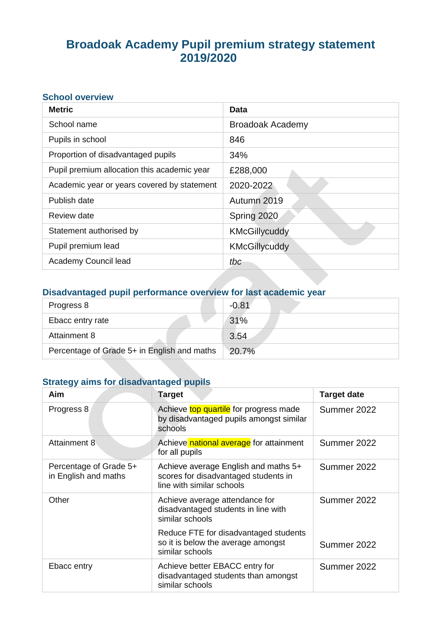# **Broadoak Academy Pupil premium strategy statement 2019/2020**

### **School overview**

| <b>Metric</b>                               | <b>Data</b>             |
|---------------------------------------------|-------------------------|
| School name                                 | <b>Broadoak Academy</b> |
| Pupils in school                            | 846                     |
| Proportion of disadvantaged pupils          | 34%                     |
| Pupil premium allocation this academic year | £288,000                |
| Academic year or years covered by statement | 2020-2022               |
| Publish date                                | Autumn 2019             |
| Review date                                 | Spring 2020             |
| Statement authorised by                     | KMcGillycuddy           |
| Pupil premium lead                          | <b>KMcGillycuddy</b>    |
| Academy Council lead                        | tbc                     |

## **Disadvantaged pupil performance overview for last academic year**

| Progress 8                                  | $-0.81$ |
|---------------------------------------------|---------|
| Ebacc entry rate                            | 31%     |
| Attainment 8                                | 3.54    |
| Percentage of Grade 5+ in English and maths | 20.7%   |

### **Strategy aims for disadvantaged pupils**

| Aim                                            | <b>Target</b>                                                                                             | <b>Target date</b> |
|------------------------------------------------|-----------------------------------------------------------------------------------------------------------|--------------------|
| Progress 8                                     | Achieve top quartile for progress made<br>by disadvantaged pupils amongst similar<br>schools              | Summer 2022        |
| <b>Attainment 8</b>                            | Achieve national average for attainment<br>for all pupils                                                 | Summer 2022        |
| Percentage of Grade 5+<br>in English and maths | Achieve average English and maths 5+<br>scores for disadvantaged students in<br>line with similar schools | Summer 2022        |
| Other                                          | Achieve average attendance for<br>disadvantaged students in line with<br>similar schools                  | Summer 2022        |
|                                                | Reduce FTE for disadvantaged students<br>so it is below the average amongst<br>similar schools            | Summer 2022        |
| Ebacc entry                                    | Achieve better EBACC entry for<br>disadvantaged students than amongst<br>similar schools                  | Summer 2022        |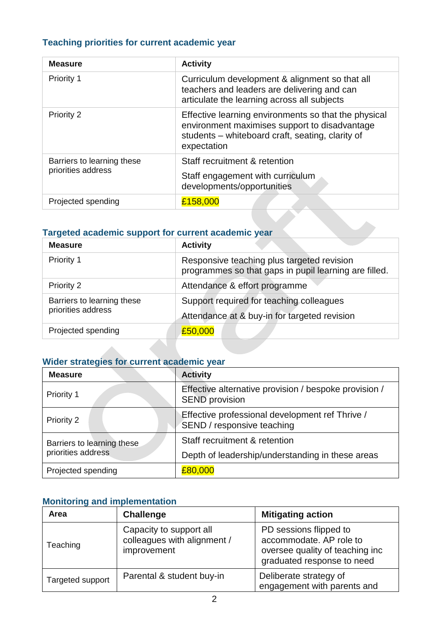### **Teaching priorities for current academic year**

| <b>Measure</b>                                   | <b>Activity</b>                                                                                                                                                          |
|--------------------------------------------------|--------------------------------------------------------------------------------------------------------------------------------------------------------------------------|
| Priority 1                                       | Curriculum development & alignment so that all<br>teachers and leaders are delivering and can<br>articulate the learning across all subjects                             |
| Priority 2                                       | Effective learning environments so that the physical<br>environment maximises support to disadvantage<br>students – whiteboard craft, seating, clarity of<br>expectation |
| Barriers to learning these<br>priorities address | Staff recruitment & retention<br>Staff engagement with curriculum<br>developments/opportunities                                                                          |
| Projected spending                               | £158,000                                                                                                                                                                 |

#### **Targeted academic support for current academic year**

| <b>Measure</b>             | <b>Activity</b>                                                                                     |
|----------------------------|-----------------------------------------------------------------------------------------------------|
| Priority 1                 | Responsive teaching plus targeted revision<br>programmes so that gaps in pupil learning are filled. |
| Priority 2                 | Attendance & effort programme                                                                       |
| Barriers to learning these | Support required for teaching colleagues                                                            |
| priorities address         | Attendance at & buy-in for targeted revision                                                        |
| Projected spending         | £50,000                                                                                             |

### **Wider strategies for current academic year**

| <b>Measure</b>             | <b>Activity</b>                                                                |
|----------------------------|--------------------------------------------------------------------------------|
| Priority 1                 | Effective alternative provision / bespoke provision /<br><b>SEND</b> provision |
| Priority 2                 | Effective professional development ref Thrive /<br>SEND / responsive teaching  |
| Barriers to learning these | Staff recruitment & retention                                                  |
| priorities address         | Depth of leadership/understanding in these areas                               |
| Projected spending         | £80,000                                                                        |

### **Monitoring and implementation**

| Area             | <b>Challenge</b>                                                      | <b>Mitigating action</b>                                                                                           |
|------------------|-----------------------------------------------------------------------|--------------------------------------------------------------------------------------------------------------------|
| Teaching         | Capacity to support all<br>colleagues with alignment /<br>improvement | PD sessions flipped to<br>accommodate. AP role to<br>oversee quality of teaching inc<br>graduated response to need |
| Targeted support | Parental & student buy-in                                             | Deliberate strategy of<br>engagement with parents and                                                              |